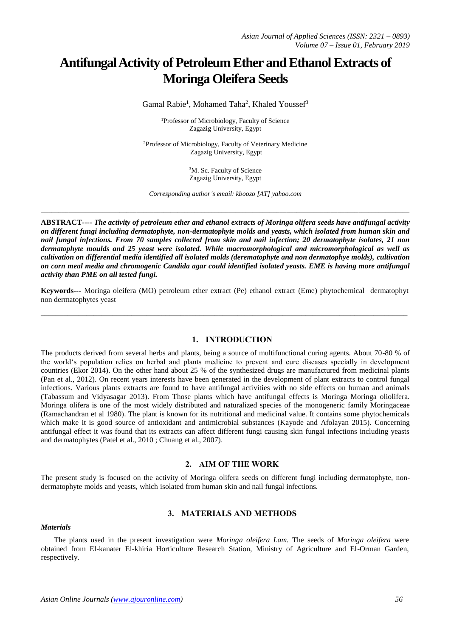# **Antifungal Activity of Petroleum Ether and Ethanol Extracts of Moringa Oleifera Seeds**

Gamal Rabie<sup>1</sup>, Mohamed Taha<sup>2</sup>, Khaled Youssef<sup>3</sup>

<sup>1</sup>Professor of Microbiology, Faculty of Science Zagazig University, Egypt

<sup>2</sup>Professor of Microbiology, Faculty of Veterinary Medicine Zagazig University, Egypt

> <sup>3</sup>M. Sc. Faculty of Science Zagazig University, Egypt

*Corresponding author's email: kboozo [AT] yahoo.com*

*\_\_\_\_\_\_\_\_\_\_\_\_\_\_\_\_\_\_\_\_\_\_\_\_\_\_\_\_\_\_\_\_\_\_\_\_\_\_\_\_\_\_\_\_\_\_\_\_\_\_\_\_\_\_\_\_\_\_\_\_\_\_\_\_\_\_\_\_\_\_\_\_\_\_\_\_\_\_\_\_\_\_\_\_\_\_\_\_\_\_\_\_\_\_\_\_\_\_\_\_\_\_\_\_\_\_\_\_*

**ABSTRACT----** *The activity of petroleum ether and ethanol extracts of Moringa olifera seeds have antifungal activity on different fungi including dermatophyte, non-dermatophyte molds and yeasts, which isolated from human skin and nail fungal infections. From 70 samples collected from skin and nail infection; 20 dermatophyte isolates, 21 non dermatophyte moulds and 25 yeast were isolated. While macromorphological and micromorphological as well as cultivation on differential media identified all isolated molds (derematophyte and non dermatophye molds), cultivation on corn meal media and chromogenic Candida agar could identified isolated yeasts. EME is having more antifungal activity than PME on all tested fungi.*

**Keywords---** Moringa oleifera (MO) petroleum ether extract (Pe) ethanol extract (Eme) phytochemical dermatophyt non dermatophytes yeast

\_\_\_\_\_\_\_\_\_\_\_\_\_\_\_\_\_\_\_\_\_\_\_\_\_\_\_\_\_\_\_\_\_\_\_\_\_\_\_\_\_\_\_\_\_\_\_\_\_\_\_\_\_\_\_\_\_\_\_\_\_\_\_\_\_\_\_\_\_\_\_\_\_\_\_\_\_\_\_\_\_\_\_\_\_\_\_\_\_\_\_\_\_\_\_\_\_

#### **1. INTRODUCTION**

The products derived from several herbs and plants, being a source of multifunctional curing agents. About 70-80 % of the world's population relies on herbal and plants medicine to prevent and cure diseases specially in development countries (Ekor 2014). On the other hand about 25 % of the synthesized drugs are manufactured from medicinal plants (Pan et al., 2012). On recent years interests have been generated in the development of plant extracts to control fungal infections. Various plants extracts are found to have antifungal activities with no side effects on human and animals (Tabassum and Vidyasagar 2013). From Those plants which have antifungal effects is Moringa Moringa oliolifera. Moringa olifera is one of the most widely distributed and naturalized species of the monogeneric family Moringaceae (Ramachandran et al 1980). The plant is known for its nutritional and medicinal value. It contains some phytochemicals which make it is good source of antioxidant and antimicrobial substances (Kayode and Afolayan 2015). Concerning antifungal effect it was found that its extracts can affect different fungi causing skin fungal infections including yeasts and dermatophytes (Patel et al., 2010 ; Chuang et al., 2007).

#### **2. AIM OF THE WORK**

The present study is focused on the activity of Moringa olifera seeds on different fungi including dermatophyte, nondermatophyte molds and yeasts, which isolated from human skin and nail fungal infections.

## **3. MATERIALS AND METHODS**

#### *Materials*

The plants used in the present investigation were *Moringa oleifera Lam.* The seeds of *Moringa oleifera* were obtained from El-kanater El-khiria Horticulture Research Station, Ministry of Agriculture and El-Orman Garden, respectively.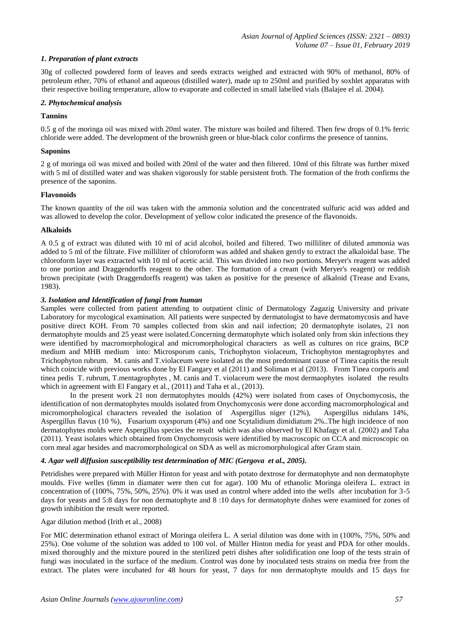## *1. Preparation of plant extracts*

30g of collected powdered form of leaves and seeds extracts weighed and extracted with 90% of methanol, 80% of petroleum ether, 70% of ethanol and aqueous (distilled water), made up to 250ml and purified by soxhlet apparatus with their respective boiling temperature, allow to evaporate and collected in small labelled vials (Balajee el al. 2004).

## *2. Phytochemical analysis*

## **Tannins**

0.5 g of the moringa oil was mixed with 20ml water. The mixture was boiled and filtered. Then few drops of 0.1% ferric chloride were added. The development of the brownish green or blue-black color confirms the presence of tannins.

## **Saponins**

2 g of moringa oil was mixed and boiled with 20ml of the water and then filtered. 10ml of this filtrate was further mixed with 5 ml of distilled water and was shaken vigorously for stable persistent froth. The formation of the froth confirms the presence of the saponins.

#### **Flavonoids**

The known quantity of the oil was taken with the ammonia solution and the concentrated sulfuric acid was added and was allowed to develop the color. Development of yellow color indicated the presence of the flavonoids.

#### **Alkaloids**

A 0.5 g of extract was diluted with 10 ml of acid alcohol, boiled and filtered. Two milliliter of diluted ammonia was added to 5 ml of the filtrate. Five milliliter of chloroform was added and shaken gently to extract the alkaloidal base. The chloroform layer was extracted with 10 ml of acetic acid. This was divided into two portions. Meryer's reagent was added to one portion and Draggendorffs reagent to the other. The formation of a cream (with Meryer's reagent) or reddish brown precipitate (with Draggendorffs reagent) was taken as positive for the presence of alkaloid (Trease and Evans, 1983).

#### *3. Isolation and Identification of fungi from human*

Samples were collected from patient attending to outpatient clinic of Dermatology Zagazig University and private Laboratory for mycological examination. All patients were suspected by dermatologist to have dermatomycosis and have positive direct KOH. From 70 samples collected from skin and nail infection; 20 dermatophyte isolates, 21 non dermatophyte moulds and 25 yeast were isolated.Concerning dermatophyte which isolated only from skin infections they were identified by macromorphological and micromorphological characters as well as cultures on rice grains, BCP medium and MHB medium into: Microsporum canis, Trichophyton violaceum, Trichophyton mentagrophytes and Trichophyton rubrum. M. canis and T.violaceum were isolated as the most predominant cause of Tinea capitis the result which coincide with previous works done by El Fangary et al (2011) and Soliman et al (2013). From Tinea corporis and tinea pedis T. rubrum, T.mentagrophytes , M. canis and T. violaceum were the most dermaophytes isolated the results which in agreement with El Fangary et al., (2011) and Taha et al., (2013).

In the present work 21 non dermatophytes moulds (42%) were isolated from cases of Onychomycosis, the identification of non dermatophytes moulds isolated from Onychomycosis were done according macromorphological and micromorphological characters revealed the isolation of Aspergillus niger (12%), Aspergillus nidulans 14%, Aspergillus flavus (10 %), Fusarium oxysporum (4%) and one Scytalidium dimidiatum 2%..The high incidence of non dermatophytes molds were Aspergillus species the result which was also observed by El Khafagy et al. (2002) and Taha (2011). Yeast isolates which obtained from Onychomycosis were identified by macroscopic on CCA and microscopic on corn meal agar besides and macromorphological on SDA as well as micromorphological after Gram stain.

#### *4. Agar well diffusion susceptibility test determination of MIC (Gergova et al., 2005).*

Petridishes were prepared with Müller Hinton for yeast and with potato dextrose for dermatophyte and non dermatophyte moulds. Five welles (6mm in diamater were then cut for agar). 100 Mu of ethanolic Moringa oleifera L. extract in concentration of (100%, 75%, 50%, 25%). 0% it was used as control where added into the wells after incubation for 3-5 days for yeasts and 5:8 days for non dermatophyte and 8 :10 days for dermatophyte dishes were examined for zones of growth inhibition the result were reported.

#### Agar dilution method (Irith et al., 2008)

For MIC determination ethanol extract of Moringa oleifera L. A serial dilution was done with in (100%, 75%, 50% and 25%). One volume of the solution was added to 100 vol. of Müller Hinton media for yeast and PDA for other moulds. mixed thoroughly and the mixture poured in the sterilized petri dishes after solidification one loop of the tests strain of fungi was inoculated in the surface of the medium. Control was done by inoculated tests strains on media free from the extract. The plates were incubated for 48 hours for yeast, 7 days for non dermatophyte moulds and 15 days for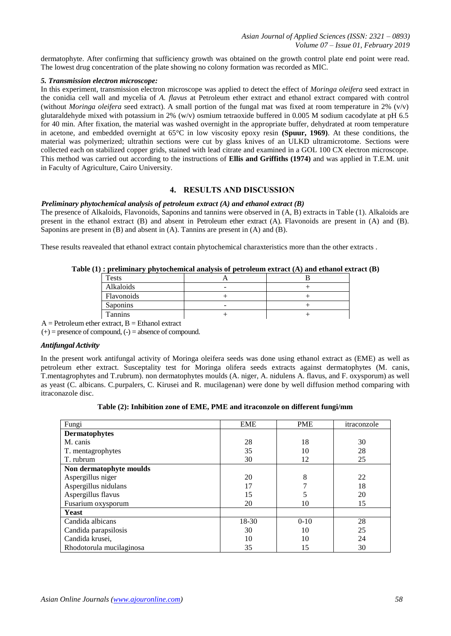dermatophyte. After confirming that sufficiency growth was obtained on the growth control plate end point were read. The lowest drug concentration of the plate showing no colony formation was recorded as MIC.

## *5. Transmission electron microscope:*

In this experiment, transmission electron microscope was applied to detect the effect of *Moringa oleifera* seed extract in the conidia cell wall and mycelia of *A. flavus* at Petroleum ether extract and ethanol extract compared with control (without *Moringa oleifera* seed extract). A small portion of the fungal mat was fixed at room temperature in 2% (v/v) glutaraldehyde mixed with potassium in 2% (w/v) osmium tetraoxide buffered in 0.005 M sodium cacodylate at pH 6.5 for 40 min. After fixation, the material was washed overnight in the appropriate buffer, dehydrated at room temperature in acetone, and embedded overnight at 65°C in low viscosity epoxy resin **(Spuur, 1969)**. At these conditions, the material was polymerized; ultrathin sections were cut by glass knives of an ULKD ultramicrotome. Sections were collected each on stabilized copper grids, stained with lead citrate and examined in a GOL 100 CX electron microscope. This method was carried out according to the instructions of **Ellis and Griffiths (1974)** and was applied in T.E.M. unit in Faculty of Agriculture, Cairo University.

## **4. RESULTS AND DISCUSSION**

#### *Preliminary phytochemical analysis of petroleum extract (A) and ethanol extract (B)*

The presence of Alkaloids, Flavonoids, Saponins and tannins were observed in (A, B) extracts in Table (1). Alkaloids are present in the ethanol extract (B) and absent in Petroleum ether extract (A). Flavonoids are present in (A) and (B). Saponins are present in (B) and absent in (A). Tannins are present in (A) and (B).

These results reavealed that ethanol extract contain phytochemical charaxteristics more than the other extracts .

## **Table (1) : preliminary phytochemical analysis of petroleum extract (A) and ethanol extract (B)**

| <b>Tests</b>   |   |  |
|----------------|---|--|
| Alkaloids      | - |  |
| Flavonoids     |   |  |
| Saponins       | - |  |
| <b>Tannins</b> |   |  |

 $A =$  Petroleum ether extract,  $B =$  Ethanol extract

 $(+)$  = presence of compound,  $(-)$  = absence of compound.

## *Antifungal Activity*

In the present work antifungal activity of Moringa oleifera seeds was done using ethanol extract as (EME) as well as petroleum ether extract. Susceptality test for Moringa olifera seeds extracts against dermatophytes (M. canis, T.mentagrophytes and T.rubrum). non dermatophytes moulds (A. niger, A. nidulens A. flavus, and F. oxysporum) as well as yeast (C. albicans. C.purpalers, C. Kirusei and R. mucilagenan) were done by well diffusion method comparing with itraconazole disc.

## **Table (2): Inhibition zone of EME, PME and itraconzole on different fungi/mm**

| Fungi                    | <b>EME</b> | <b>PME</b> | itraconzole |
|--------------------------|------------|------------|-------------|
| <b>Dermatophytes</b>     |            |            |             |
| M. canis                 | 28         | 18         | 30          |
| T. mentagrophytes        | 35         | 10         | 28          |
| T. rubrum                | 30         | 12         | 25          |
| Non dermatophyte moulds  |            |            |             |
| Aspergillus niger        | 20         | 8          | 22          |
| Aspergillus nidulans     | 17         |            | 18          |
| Aspergillus flavus       | 15         | 5          | 20          |
| Fusarium oxysporum       | 20         | 10         | 15          |
| Yeast                    |            |            |             |
| Candida albicans         | 18-30      | $0-10$     | 28          |
| Candida parapsilosis     | 30         | 10         | 25          |
| Candida krusei,          | 10         | 10         | 24          |
| Rhodotorula mucilaginosa | 35         | 15         | 30          |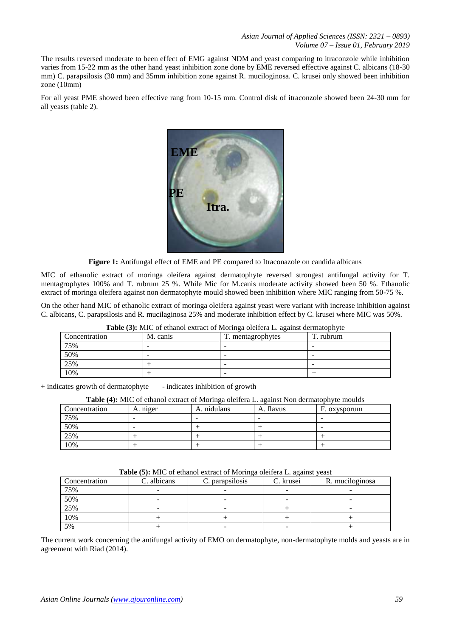The results reversed moderate to been effect of EMG against NDM and yeast comparing to itraconzole while inhibition varies from 15-22 mm as the other hand yeast inhibition zone done by EME reversed effective against C. albicans (18-30 mm) C. parapsilosis (30 mm) and 35mm inhibition zone against R. muciloginosa. C. krusei only showed been inhibition zone (10mm)

For all yeast PME showed been effective rang from 10-15 mm. Control disk of itraconzole showed been 24-30 mm for all yeasts (table 2).



**Figure 1:** Antifungal effect of EME and PE compared to Itraconazole on candida albicans

MIC of ethanolic extract of moringa oleifera against dermatophyte reversed strongest antifungal activity for T. mentagrophytes 100% and T. rubrum 25 %. While Mic for M.canis moderate activity showed been 50 %. Ethanolic extract of moringa oleifera against non dermatophyte mould showed been inhibition where MIC ranging from 50-75 %.

On the other hand MIC of ethanolic extract of moringa oleifera against yeast were variant with increase inhibition against C. albicans, C. parapsilosis and R. mucilaginosa 25% and moderate inhibition effect by C. krusei where MIC was 50%.

| Concentration | M. canis | T. mentagrophytes | т<br>T. rubrum |
|---------------|----------|-------------------|----------------|
| 75%           |          |                   |                |
| 50%           |          | -                 | -              |
| 25%           |          | -                 | -              |
| 10%           |          |                   |                |

**Table (3):** MIC of ethanol extract of Moringa oleifera L. against dermatophyte

+ indicates growth of dermatophyte - indicates inhibition of growth

|  | Table (4): MIC of ethanol extract of Moringa oleifera L. against Non dermatophyte moulds |
|--|------------------------------------------------------------------------------------------|
|  |                                                                                          |

| Concentration | A. miger | A. nidulans | A. flavus | F. oxysporum |
|---------------|----------|-------------|-----------|--------------|
| 75%           |          |             |           |              |
| 50%           |          |             |           | -            |
| 25%           |          |             |           |              |
| 10%           |          |             |           |              |

**Table (5):** MIC of ethanol extract of Moringa oleifera L. against yeast

| Concentration | C. albicans | <b>Table (5):</b> MIC Of ethanol extract of Morniga offerera L. against yeast<br>C. parapsilosis | C. krusei | R. muciloginosa |
|---------------|-------------|--------------------------------------------------------------------------------------------------|-----------|-----------------|
| 75%           |             |                                                                                                  |           |                 |
| 50%           |             |                                                                                                  |           |                 |
| 25%           |             | $\overline{\phantom{a}}$                                                                         |           |                 |
| 10%           |             |                                                                                                  |           |                 |
| 5%            |             |                                                                                                  |           |                 |

The current work concerning the antifungal activity of EMO on dermatophyte, non-dermatophyte molds and yeasts are in agreement with Riad (2014).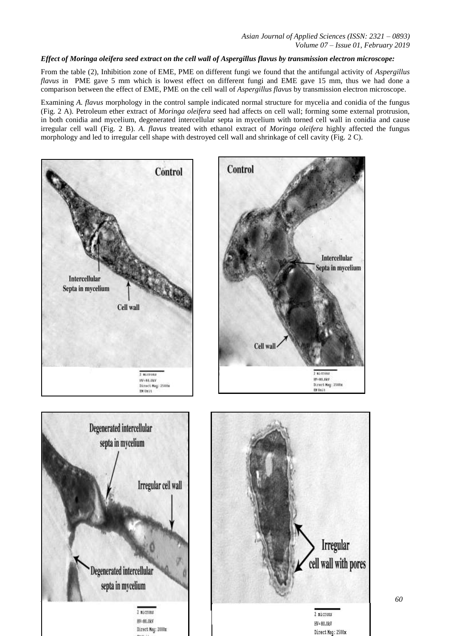## *Effect of Moringa oleifera seed extract on the cell wall of Aspergillus flavus by transmission electron microscope:*

From the table (2), Inhibition zone of EME, PME on different fungi we found that the antifungal activity of *Aspergillus flavus* in PME gave 5 mm which is lowest effect on different fungi and EME gave 15 mm, thus we had done a comparison between the effect of EME, PME on the cell wall of *Aspergillus flavus* by transmission electron microscope.

Examining *A. flavus* morphology in the control sample indicated normal structure for mycelia and conidia of the fungus (Fig. 2 A). Petroleum ether extract of *Moringa oleifera* seed had affects on cell wall; forming some external protrusion, in both conidia and mycelium, degenerated intercellular septa in mycelium with torned cell wall in conidia and cause irregular cell wall (Fig. 2 B). *A. flavus* treated with ethanol extract of *Moringa oleifera* highly affected the fungus morphology and led to irregular cell shape with destroyed cell wall and shrinkage of cell cavity (Fig. 2 C).

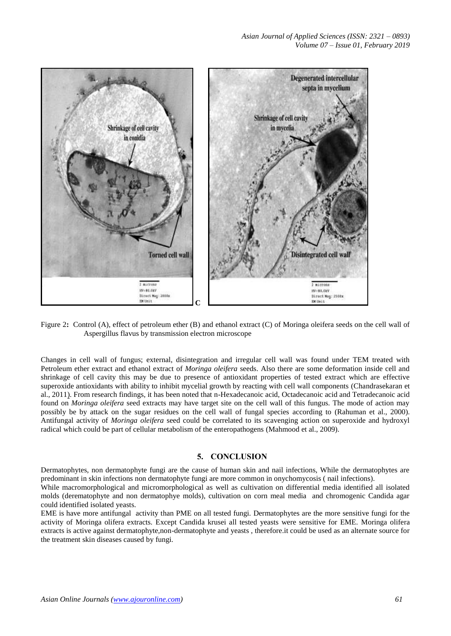

Figure 2**:** Control (A), effect of petroleum ether (B) and ethanol extract (C) of Moringa oleifera seeds on the cell wall of Aspergillus flavus by transmission electron microscope

Changes in cell wall of fungus; external, disintegration and irregular cell wall was found under TEM treated with Petroleum ether extract and ethanol extract of *Moringa oleifera* seeds. Also there are some deformation inside cell and shrinkage of cell cavity this may be due to presence of antioxidant properties of tested extract which are effective superoxide antioxidants with ability to inhibit mycelial growth by reacting with cell wall components (Chandrasekaran et al., 2011). From research findings, it has been noted that n-Hexadecanoic acid, Octadecanoic acid and Tetradecanoic acid found on *Moringa oleifera* seed extracts may have target site on the cell wall of this fungus. The mode of action may possibly be by attack on the sugar residues on the cell wall of fungal species according to (Rahuman et al., 2000). Antifungal activity of *Moringa oleifera* seed could be correlated to its scavenging action on superoxide and hydroxyl radical which could be part of cellular metabolism of the enteropathogens (Mahmood et al., 2009).

## **5. CONCLUSION**

Dermatophytes, non dermatophyte fungi are the cause of human skin and nail infections, While the dermatophytes are predominant in skin infections non dermatophyte fungi are more common in onychomycosis ( nail infections).

While macromorphological and micromorphological as well as cultivation on differential media identified all isolated molds (derematophyte and non dermatophye molds), cultivation on corn meal media and chromogenic Candida agar could identified isolated yeasts.

EME is have more antifungal activity than PME on all tested fungi. Dermatophytes are the more sensitive fungi for the activity of Moringa olifera extracts. Except Candida krusei all tested yeasts were sensitive for EME. Moringa olifera extracts is active against dermatophyte,non-dermatophyte and yeasts , therefore.it could be used as an alternate source for the treatment skin diseases caused by fungi.